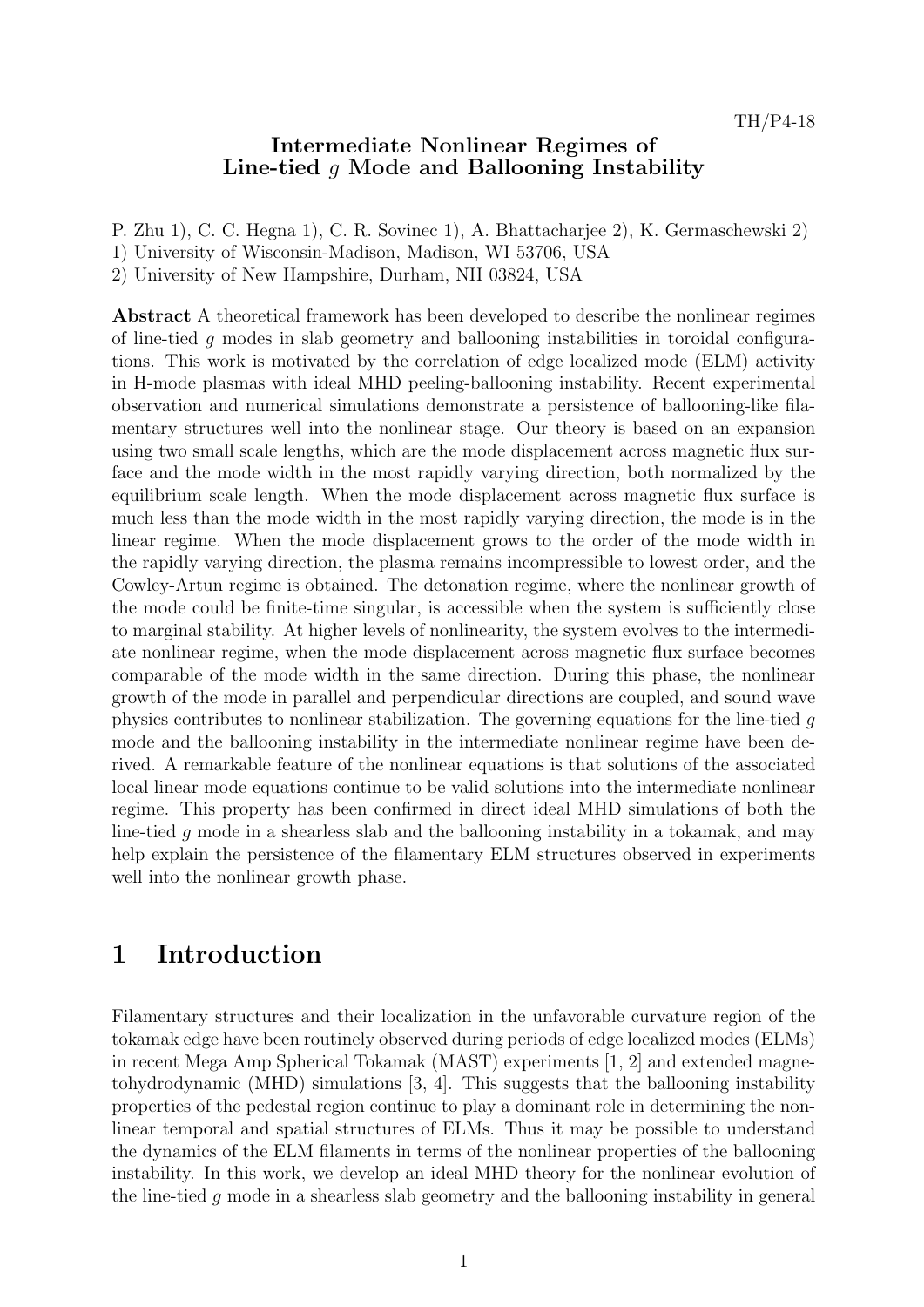#### Intermediate Nonlinear Regimes of Line-tied g Mode and Ballooning Instability

P. Zhu 1), C. C. Hegna 1), C. R. Sovinec 1), A. Bhattacharjee 2), K. Germaschewski 2)

- 1) University of Wisconsin-Madison, Madison, WI 53706, USA
- 2) University of New Hampshire, Durham, NH 03824, USA

Abstract A theoretical framework has been developed to describe the nonlinear regimes of line-tied  $q$  modes in slab geometry and ballooning instabilities in toroidal configurations. This work is motivated by the correlation of edge localized mode (ELM) activity in H-mode plasmas with ideal MHD peeling-ballooning instability. Recent experimental observation and numerical simulations demonstrate a persistence of ballooning-like filamentary structures well into the nonlinear stage. Our theory is based on an expansion using two small scale lengths, which are the mode displacement across magnetic flux surface and the mode width in the most rapidly varying direction, both normalized by the equilibrium scale length. When the mode displacement across magnetic flux surface is much less than the mode width in the most rapidly varying direction, the mode is in the linear regime. When the mode displacement grows to the order of the mode width in the rapidly varying direction, the plasma remains incompressible to lowest order, and the Cowley-Artun regime is obtained. The detonation regime, where the nonlinear growth of the mode could be finite-time singular, is accessible when the system is sufficiently close to marginal stability. At higher levels of nonlinearity, the system evolves to the intermediate nonlinear regime, when the mode displacement across magnetic flux surface becomes comparable of the mode width in the same direction. During this phase, the nonlinear growth of the mode in parallel and perpendicular directions are coupled, and sound wave physics contributes to nonlinear stabilization. The governing equations for the line-tied g mode and the ballooning instability in the intermediate nonlinear regime have been derived. A remarkable feature of the nonlinear equations is that solutions of the associated local linear mode equations continue to be valid solutions into the intermediate nonlinear regime. This property has been confirmed in direct ideal MHD simulations of both the line-tied g mode in a shearless slab and the ballooning instability in a tokamak, and may help explain the persistence of the filamentary ELM structures observed in experiments well into the nonlinear growth phase.

### 1 Introduction

Filamentary structures and their localization in the unfavorable curvature region of the tokamak edge have been routinely observed during periods of edge localized modes (ELMs) in recent Mega Amp Spherical Tokamak (MAST) experiments [1, 2] and extended magnetohydrodynamic (MHD) simulations [3, 4]. This suggests that the ballooning instability properties of the pedestal region continue to play a dominant role in determining the nonlinear temporal and spatial structures of ELMs. Thus it may be possible to understand the dynamics of the ELM filaments in terms of the nonlinear properties of the ballooning instability. In this work, we develop an ideal MHD theory for the nonlinear evolution of the line-tied g mode in a shearless slab geometry and the ballooning instability in general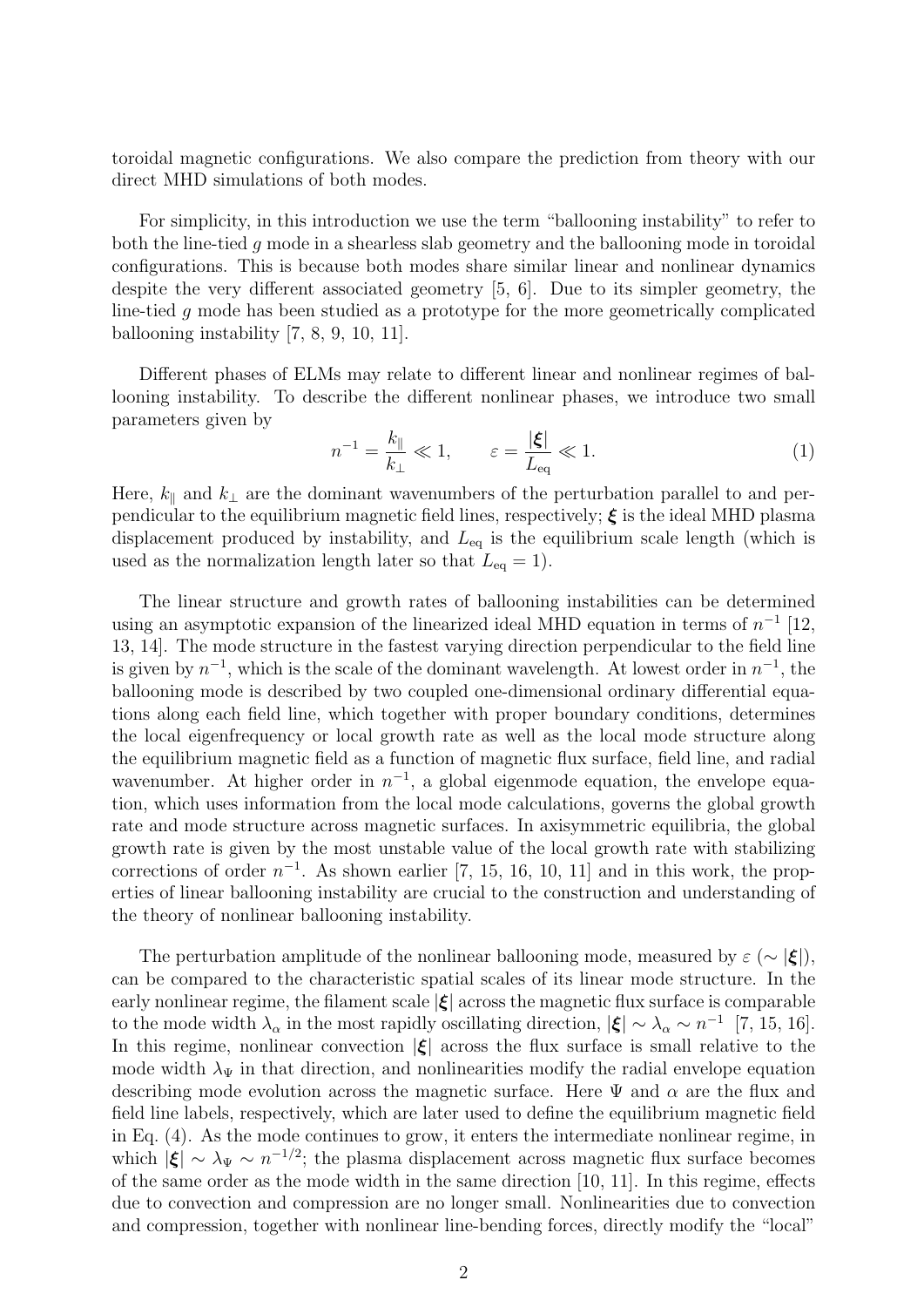toroidal magnetic configurations. We also compare the prediction from theory with our direct MHD simulations of both modes.

For simplicity, in this introduction we use the term "ballooning instability" to refer to both the line-tied g mode in a shearless slab geometry and the ballooning mode in toroidal configurations. This is because both modes share similar linear and nonlinear dynamics despite the very different associated geometry [5, 6]. Due to its simpler geometry, the line-tied g mode has been studied as a prototype for the more geometrically complicated ballooning instability [7, 8, 9, 10, 11].

Different phases of ELMs may relate to different linear and nonlinear regimes of ballooning instability. To describe the different nonlinear phases, we introduce two small parameters given by

$$
n^{-1} = \frac{k_{\parallel}}{k_{\perp}} \ll 1, \qquad \varepsilon = \frac{|\xi|}{L_{\text{eq}}} \ll 1. \tag{1}
$$

Here,  $k_{\parallel}$  and  $k_{\perp}$  are the dominant wavenumbers of the perturbation parallel to and perpendicular to the equilibrium magnetic field lines, respectively;  $\xi$  is the ideal MHD plasma displacement produced by instability, and  $L_{eq}$  is the equilibrium scale length (which is used as the normalization length later so that  $L_{\text{eq}} = 1$ .

The linear structure and growth rates of ballooning instabilities can be determined using an asymptotic expansion of the linearized ideal MHD equation in terms of  $n^{-1}$  [12, 13, 14]. The mode structure in the fastest varying direction perpendicular to the field line is given by  $n^{-1}$ , which is the scale of the dominant wavelength. At lowest order in  $n^{-1}$ , the ballooning mode is described by two coupled one-dimensional ordinary differential equations along each field line, which together with proper boundary conditions, determines the local eigenfrequency or local growth rate as well as the local mode structure along the equilibrium magnetic field as a function of magnetic flux surface, field line, and radial wavenumber. At higher order in  $n^{-1}$ , a global eigenmode equation, the envelope equation, which uses information from the local mode calculations, governs the global growth rate and mode structure across magnetic surfaces. In axisymmetric equilibria, the global growth rate is given by the most unstable value of the local growth rate with stabilizing corrections of order  $n^{-1}$ . As shown earlier [7, 15, 16, 10, 11] and in this work, the properties of linear ballooning instability are crucial to the construction and understanding of the theory of nonlinear ballooning instability.

The perturbation amplitude of the nonlinear ballooning mode, measured by  $\varepsilon (\sim |\xi|)$ , can be compared to the characteristic spatial scales of its linear mode structure. In the early nonlinear regime, the filament scale  $|\xi|$  across the magnetic flux surface is comparable to the mode width  $\lambda_{\alpha}$  in the most rapidly oscillating direction,  $|\boldsymbol{\xi}| \sim \lambda_{\alpha} \sim n^{-1}$  [7, 15, 16]. In this regime, nonlinear convection  $|\xi|$  across the flux surface is small relative to the mode width  $\lambda_{\Psi}$  in that direction, and nonlinearities modify the radial envelope equation describing mode evolution across the magnetic surface. Here  $\Psi$  and  $\alpha$  are the flux and field line labels, respectively, which are later used to define the equilibrium magnetic field in Eq. (4). As the mode continues to grow, it enters the intermediate nonlinear regime, in which  $|\xi| \sim \lambda_{\Psi} \sim n^{-1/2}$ ; the plasma displacement across magnetic flux surface becomes of the same order as the mode width in the same direction [10, 11]. In this regime, effects due to convection and compression are no longer small. Nonlinearities due to convection and compression, together with nonlinear line-bending forces, directly modify the "local"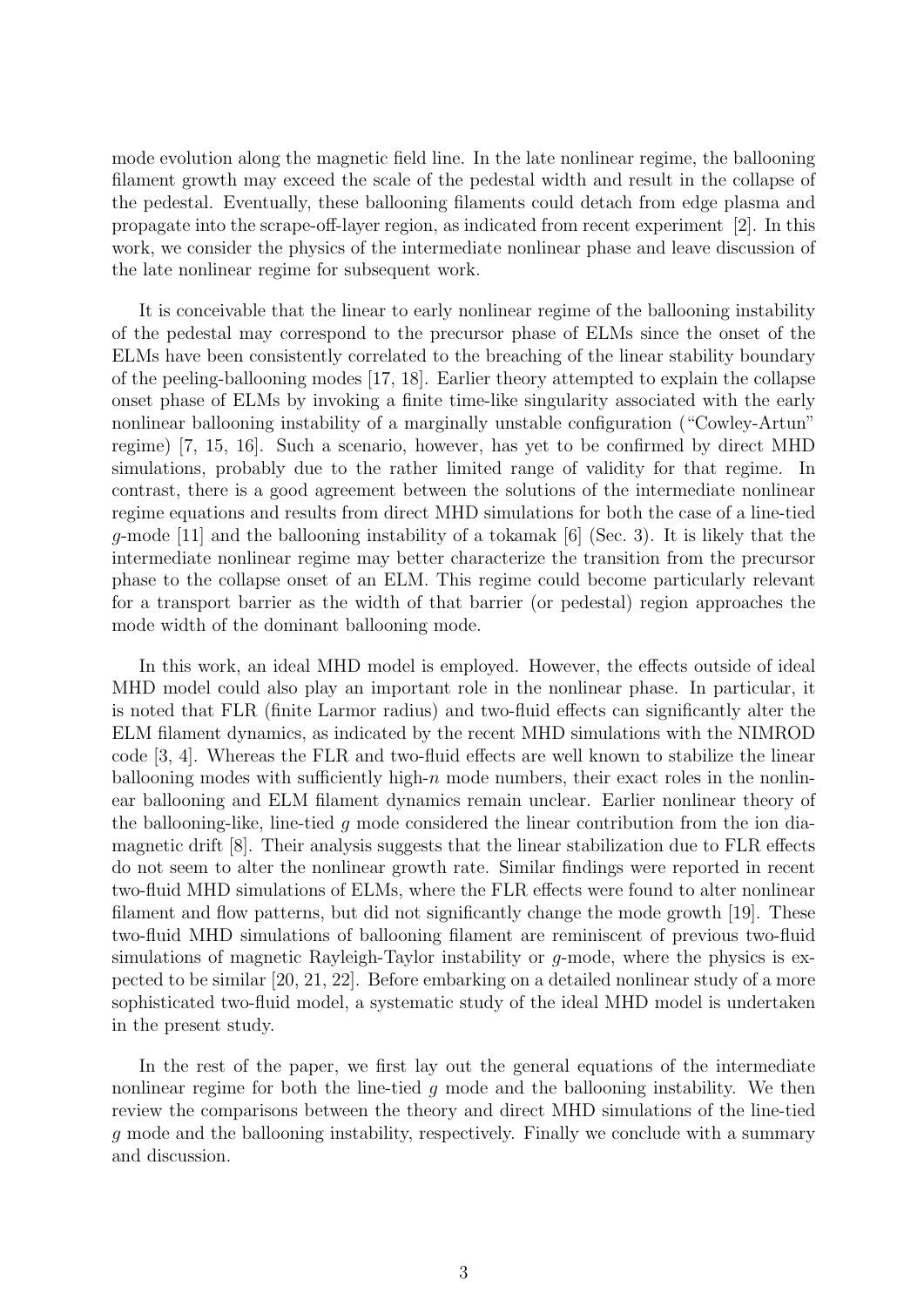mode evolution along the magnetic field line. In the late nonlinear regime, the ballooning filament growth may exceed the scale of the pedestal width and result in the collapse of the pedestal. Eventually, these ballooning filaments could detach from edge plasma and propagate into the scrape-off-layer region, as indicated from recent experiment [2]. In this work, we consider the physics of the intermediate nonlinear phase and leave discussion of the late nonlinear regime for subsequent work.

It is conceivable that the linear to early nonlinear regime of the ballooning instability of the pedestal may correspond to the precursor phase of ELMs since the onset of the ELMs have been consistently correlated to the breaching of the linear stability boundary of the peeling-ballooning modes [17, 18]. Earlier theory attempted to explain the collapse onset phase of ELMs by invoking a finite time-like singularity associated with the early nonlinear ballooning instability of a marginally unstable configuration ("Cowley-Artun" regime) [7, 15, 16]. Such a scenario, however, has yet to be confirmed by direct MHD simulations, probably due to the rather limited range of validity for that regime. In contrast, there is a good agreement between the solutions of the intermediate nonlinear regime equations and results from direct MHD simulations for both the case of a line-tied  $q$ -mode [11] and the ballooning instability of a tokamak [6] (Sec. 3). It is likely that the intermediate nonlinear regime may better characterize the transition from the precursor phase to the collapse onset of an ELM. This regime could become particularly relevant for a transport barrier as the width of that barrier (or pedestal) region approaches the mode width of the dominant ballooning mode.

In this work, an ideal MHD model is employed. However, the effects outside of ideal MHD model could also play an important role in the nonlinear phase. In particular, it is noted that FLR (finite Larmor radius) and two-fluid effects can significantly alter the ELM filament dynamics, as indicated by the recent MHD simulations with the NIMROD code [3, 4]. Whereas the FLR and two-fluid effects are well known to stabilize the linear ballooning modes with sufficiently high- $n$  mode numbers, their exact roles in the nonlinear ballooning and ELM filament dynamics remain unclear. Earlier nonlinear theory of the ballooning-like, line-tied  $q$  mode considered the linear contribution from the ion diamagnetic drift [8]. Their analysis suggests that the linear stabilization due to FLR effects do not seem to alter the nonlinear growth rate. Similar findings were reported in recent two-fluid MHD simulations of ELMs, where the FLR effects were found to alter nonlinear filament and flow patterns, but did not significantly change the mode growth [19]. These two-fluid MHD simulations of ballooning filament are reminiscent of previous two-fluid simulations of magnetic Rayleigh-Taylor instability or g-mode, where the physics is expected to be similar [20, 21, 22]. Before embarking on a detailed nonlinear study of a more sophisticated two-fluid model, a systematic study of the ideal MHD model is undertaken in the present study.

In the rest of the paper, we first lay out the general equations of the intermediate nonlinear regime for both the line-tied  $g$  mode and the ballooning instability. We then review the comparisons between the theory and direct MHD simulations of the line-tied g mode and the ballooning instability, respectively. Finally we conclude with a summary and discussion.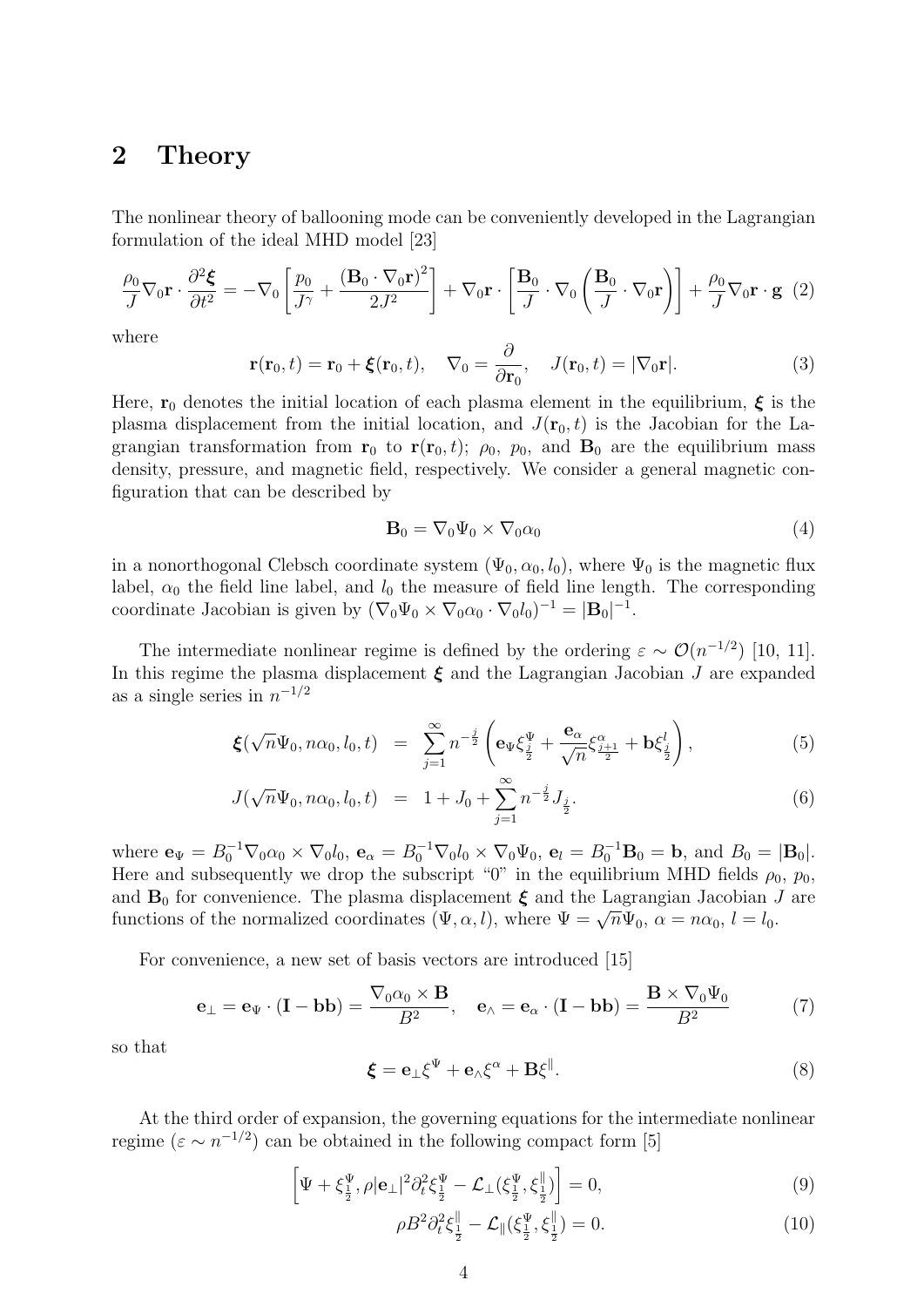# 2 Theory

The nonlinear theory of ballooning mode can be conveniently developed in the Lagrangian formulation of the ideal MHD model [23]

$$
\frac{\rho_0}{J} \nabla_0 \mathbf{r} \cdot \frac{\partial^2 \boldsymbol{\xi}}{\partial t^2} = -\nabla_0 \left[ \frac{p_0}{J^{\gamma}} + \frac{(\mathbf{B}_0 \cdot \nabla_0 \mathbf{r})^2}{2J^2} \right] + \nabla_0 \mathbf{r} \cdot \left[ \frac{\mathbf{B}_0}{J} \cdot \nabla_0 \left( \frac{\mathbf{B}_0}{J} \cdot \nabla_0 \mathbf{r} \right) \right] + \frac{\rho_0}{J} \nabla_0 \mathbf{r} \cdot \mathbf{g} \tag{2}
$$

where

$$
\mathbf{r}(\mathbf{r}_0, t) = \mathbf{r}_0 + \boldsymbol{\xi}(\mathbf{r}_0, t), \quad \nabla_0 = \frac{\partial}{\partial \mathbf{r}_0}, \quad J(\mathbf{r}_0, t) = |\nabla_0 \mathbf{r}|.
$$
 (3)

Here,  $r_0$  denotes the initial location of each plasma element in the equilibrium,  $\xi$  is the plasma displacement from the initial location, and  $J(\mathbf{r}_0, t)$  is the Jacobian for the Lagrangian transformation from  $r_0$  to  $r(r_0, t)$ ;  $\rho_0$ ,  $p_0$ , and  $B_0$  are the equilibrium mass density, pressure, and magnetic field, respectively. We consider a general magnetic configuration that can be described by

$$
\mathbf{B}_0 = \nabla_0 \Psi_0 \times \nabla_0 \alpha_0 \tag{4}
$$

in a nonorthogonal Clebsch coordinate system  $(\Psi_0, \alpha_0, l_0)$ , where  $\Psi_0$  is the magnetic flux label,  $\alpha_0$  the field line label, and  $l_0$  the measure of field line length. The corresponding coordinate Jacobian is given by  $(\nabla_0 \Psi_0 \times \nabla_0 \alpha_0 \cdot \nabla_0 l_0)^{-1} = |\mathbf{B}_0|^{-1}$ .

The intermediate nonlinear regime is defined by the ordering  $\varepsilon \sim \mathcal{O}(n^{-1/2})$  [10, 11]. In this regime the plasma displacement  $\xi$  and the Lagrangian Jacobian J are expanded as a single series in  $n^{-1/2}$ 

$$
\boldsymbol{\xi}(\sqrt{n}\Psi_0, n\alpha_0, l_0, t) = \sum_{j=1}^{\infty} n^{-\frac{j}{2}} \left( \mathbf{e}_{\Psi} \xi_{\frac{j}{2}}^{\Psi} + \frac{\mathbf{e}_{\alpha}}{\sqrt{n}} \xi_{\frac{j+1}{2}}^{\alpha} + \mathbf{b} \xi_{\frac{j}{2}}^l \right), \tag{5}
$$

$$
J(\sqrt{n}\Psi_0, n\alpha_0, l_0, t) = 1 + J_0 + \sum_{j=1}^{\infty} n^{-\frac{j}{2}} J_{\frac{j}{2}}.
$$
\n(6)

where  ${\bf e}_{\Psi} = B_0^{-1} \nabla_0 \alpha_0 \times \nabla_0 l_0$ ,  ${\bf e}_{\alpha} = B_0^{-1} \nabla_0 l_0 \times \nabla_0 \Psi_0$ ,  ${\bf e}_l = B_0^{-1} {\bf B}_0 = {\bf b}$ , and  $B_0 = |{\bf B}_0|$ . Here and subsequently we drop the subscript "0" in the equilibrium MHD fields  $\rho_0$ ,  $p_0$ , and  $B_0$  for convenience. The plasma displacement  $\xi$  and the Lagrangian Jacobian J are and  $\mathbf{B}_0$  for convenience. The plasma displacement  $\boldsymbol{\xi}$  and the Lagrangian Jacobian .<br>functions of the normalized coordinates  $(\Psi, \alpha, l)$ , where  $\Psi = \sqrt{n} \Psi_0$ ,  $\alpha = n \alpha_0$ ,  $l = l_0$ .

For convenience, a new set of basis vectors are introduced [15]

$$
\mathbf{e}_{\perp} = \mathbf{e}_{\Psi} \cdot (\mathbf{I} - \mathbf{b} \mathbf{b}) = \frac{\nabla_0 \alpha_0 \times \mathbf{B}}{B^2}, \quad \mathbf{e}_{\wedge} = \mathbf{e}_{\alpha} \cdot (\mathbf{I} - \mathbf{b} \mathbf{b}) = \frac{\mathbf{B} \times \nabla_0 \Psi_0}{B^2}
$$
(7)

so that

$$
\boldsymbol{\xi} = \mathbf{e}_{\perp} \boldsymbol{\xi}^{\Psi} + \mathbf{e}_{\wedge} \boldsymbol{\xi}^{\alpha} + \mathbf{B} \boldsymbol{\xi}^{\parallel}.
$$

At the third order of expansion, the governing equations for the intermediate nonlinear regime ( $\varepsilon \sim n^{-1/2}$ ) can be obtained in the following compact form [5]

$$
\left[\Psi + \xi_{\frac{1}{2}}^{\Psi}, \rho | \mathbf{e}_{\perp} |^{2} \partial_{t}^{2} \xi_{\frac{1}{2}}^{\Psi} - \mathcal{L}_{\perp} (\xi_{\frac{1}{2}}^{\Psi}, \xi_{\frac{1}{2}}^{\parallel}) \right] = 0, \tag{9}
$$

$$
\rho B^2 \partial_t^2 \xi_{\frac{1}{2}}^{\parallel} - \mathcal{L}_{\parallel} (\xi_{\frac{1}{2}}^{\Psi}, \xi_{\frac{1}{2}}^{\parallel}) = 0. \tag{10}
$$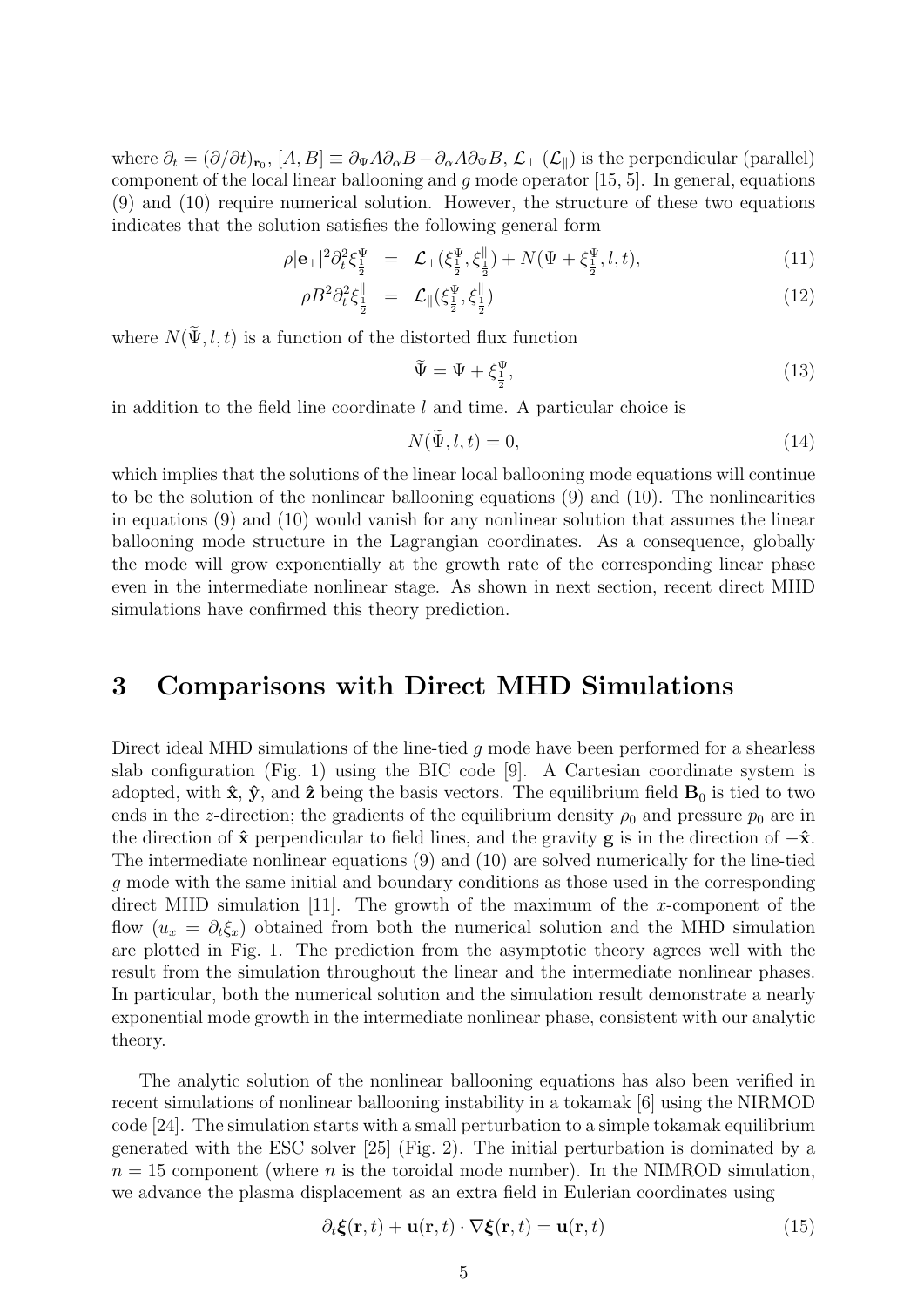where  $\partial_t = (\partial/\partial t)_{\mathbf{r}_0}$ ,  $[A, B] \equiv \partial_{\Psi} A \partial_{\alpha} B - \partial_{\alpha} A \partial_{\Psi} B$ ,  $\mathcal{L}_{\perp} (\mathcal{L}_{\parallel})$  is the perpendicular (parallel) component of the local linear ballooning and q mode operator  $[15, 5]$ . In general, equations (9) and (10) require numerical solution. However, the structure of these two equations indicates that the solution satisfies the following general form

$$
\rho |\mathbf{e}_{\perp}|^2 \partial_t^2 \xi_{\frac{1}{2}}^{\Psi} = \mathcal{L}_{\perp}(\xi_{\frac{1}{2}}^{\Psi}, \xi_{\frac{1}{2}}^{\parallel}) + N(\Psi + \xi_{\frac{1}{2}}^{\Psi}, l, t), \tag{11}
$$

$$
\rho B^2 \partial_t^2 \xi_{\frac{1}{2}}^{\parallel} = \mathcal{L}_{\parallel} (\xi_{\frac{1}{2}}^{\Psi}, \xi_{\frac{1}{2}}^{\parallel}) \tag{12}
$$

where  $N(\tilde{\Psi}, l, t)$  is a function of the distorted flux function

$$
\tilde{\Psi} = \Psi + \xi_{\frac{1}{2}}^{\Psi},\tag{13}
$$

in addition to the field line coordinate  $l$  and time. A particular choice is

$$
N(\tilde{\Psi}, l, t) = 0,\t\t(14)
$$

which implies that the solutions of the linear local ballooning mode equations will continue to be the solution of the nonlinear ballooning equations (9) and (10). The nonlinearities in equations (9) and (10) would vanish for any nonlinear solution that assumes the linear ballooning mode structure in the Lagrangian coordinates. As a consequence, globally the mode will grow exponentially at the growth rate of the corresponding linear phase even in the intermediate nonlinear stage. As shown in next section, recent direct MHD simulations have confirmed this theory prediction.

### 3 Comparisons with Direct MHD Simulations

Direct ideal MHD simulations of the line-tied  $q$  mode have been performed for a shearless slab configuration (Fig. 1) using the BIC code [9]. A Cartesian coordinate system is adopted, with  $\hat{\mathbf{x}}, \hat{\mathbf{y}},$  and  $\hat{\mathbf{z}}$  being the basis vectors. The equilibrium field  $\mathbf{B}_0$  is tied to two ends in the z-direction; the gradients of the equilibrium density  $\rho_0$  and pressure  $p_0$  are in the direction of  $\hat{x}$  perpendicular to field lines, and the gravity **g** is in the direction of  $-\hat{x}$ . The intermediate nonlinear equations (9) and (10) are solved numerically for the line-tied g mode with the same initial and boundary conditions as those used in the corresponding direct MHD simulation [11]. The growth of the maximum of the x-component of the flow  $(u_x = \partial_t \xi_x)$  obtained from both the numerical solution and the MHD simulation are plotted in Fig. 1. The prediction from the asymptotic theory agrees well with the result from the simulation throughout the linear and the intermediate nonlinear phases. In particular, both the numerical solution and the simulation result demonstrate a nearly exponential mode growth in the intermediate nonlinear phase, consistent with our analytic theory.

The analytic solution of the nonlinear ballooning equations has also been verified in recent simulations of nonlinear ballooning instability in a tokamak [6] using the NIRMOD code [24]. The simulation starts with a small perturbation to a simple tokamak equilibrium generated with the ESC solver [25] (Fig. 2). The initial perturbation is dominated by a  $n = 15$  component (where n is the toroidal mode number). In the NIMROD simulation, we advance the plasma displacement as an extra field in Eulerian coordinates using

$$
\partial_t \xi(\mathbf{r}, t) + \mathbf{u}(\mathbf{r}, t) \cdot \nabla \xi(\mathbf{r}, t) = \mathbf{u}(\mathbf{r}, t)
$$
\n(15)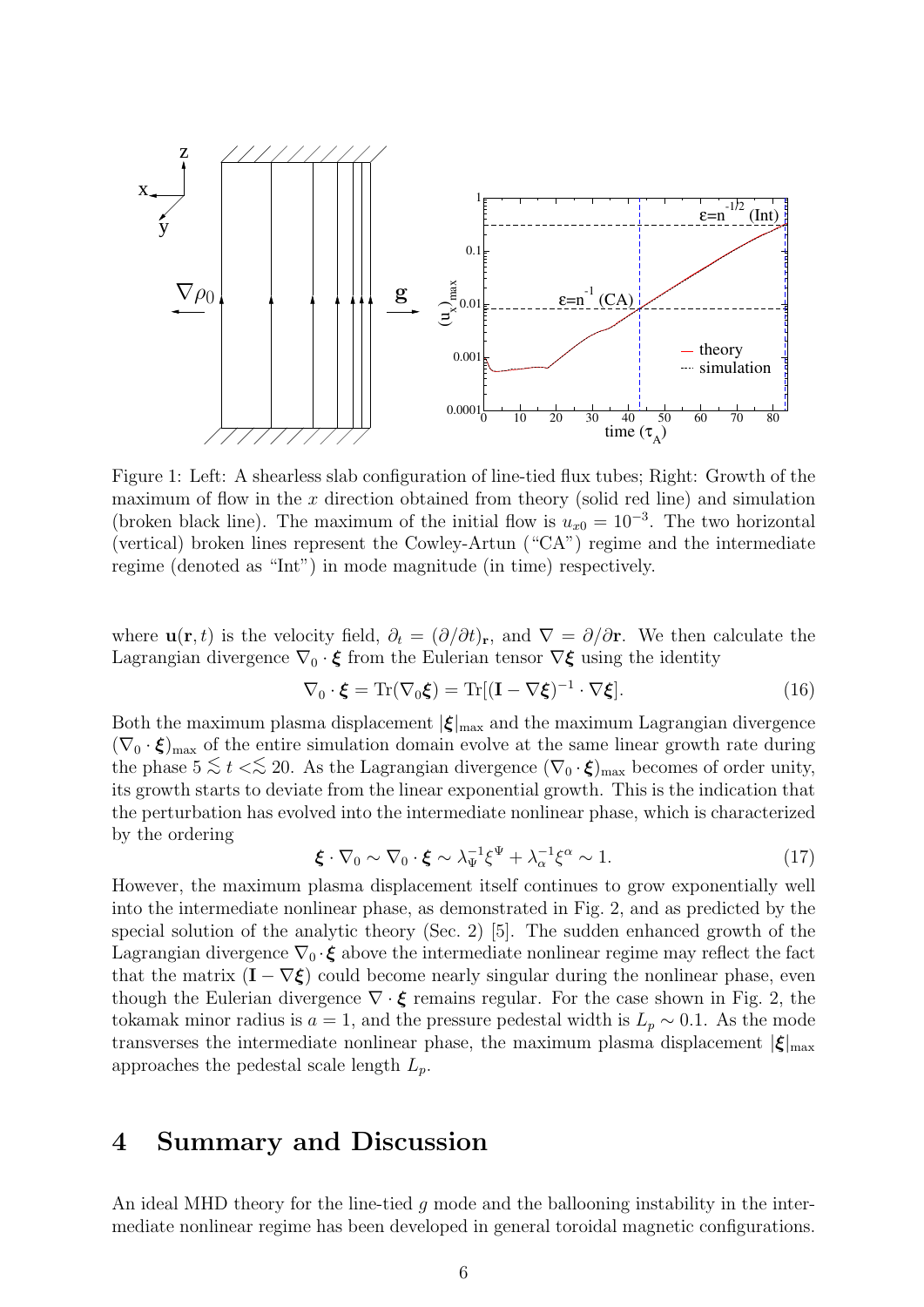

Figure 1: Left: A shearless slab configuration of line-tied flux tubes; Right: Growth of the maximum of flow in the  $x$  direction obtained from theory (solid red line) and simulation (broken black line). The maximum of the initial flow is  $u_{x0} = 10^{-3}$ . The two horizontal (vertical) broken lines represent the Cowley-Artun ("CA") regime and the intermediate regime (denoted as "Int") in mode magnitude (in time) respectively.

where  $\mathbf{u}(\mathbf{r}, t)$  is the velocity field,  $\partial_t = (\partial/\partial t)_\mathbf{r}$ , and  $\nabla = \partial/\partial \mathbf{r}$ . We then calculate the Lagrangian divergence  $\nabla_0 \cdot \boldsymbol{\xi}$  from the Eulerian tensor  $\nabla \boldsymbol{\xi}$  using the identity

$$
\nabla_0 \cdot \boldsymbol{\xi} = \text{Tr}(\nabla_0 \boldsymbol{\xi}) = \text{Tr}[(\mathbf{I} - \nabla \boldsymbol{\xi})^{-1} \cdot \nabla \boldsymbol{\xi}]. \tag{16}
$$

Both the maximum plasma displacement  $|\xi|_{\text{max}}$  and the maximum Lagrangian divergence  $(\nabla_0 \cdot \xi)_{\text{max}}$  of the entire simulation domain evolve at the same linear growth rate during the phase  $5 \lesssim t \ll 20$ . As the Lagrangian divergence  $(\nabla_0 \cdot \xi)_{\text{max}}$  becomes of order unity, its growth starts to deviate from the linear exponential growth. This is the indication that the perturbation has evolved into the intermediate nonlinear phase, which is characterized by the ordering

$$
\boldsymbol{\xi} \cdot \nabla_0 \sim \nabla_0 \cdot \boldsymbol{\xi} \sim \lambda_{\Psi}^{-1} \xi^{\Psi} + \lambda_{\alpha}^{-1} \xi^{\alpha} \sim 1. \tag{17}
$$

However, the maximum plasma displacement itself continues to grow exponentially well into the intermediate nonlinear phase, as demonstrated in Fig. 2, and as predicted by the special solution of the analytic theory (Sec. 2) [5]. The sudden enhanced growth of the Lagrangian divergence  $\nabla_0 \cdot \boldsymbol{\xi}$  above the intermediate nonlinear regime may reflect the fact that the matrix  $(I - \nabla \xi)$  could become nearly singular during the nonlinear phase, even though the Eulerian divergence  $\nabla \cdot \boldsymbol{\xi}$  remains regular. For the case shown in Fig. 2, the tokamak minor radius is  $a = 1$ , and the pressure pedestal width is  $L_p \sim 0.1$ . As the mode transverses the intermediate nonlinear phase, the maximum plasma displacement  $|\xi|_{\text{max}}$ approaches the pedestal scale length  $L_p$ .

### 4 Summary and Discussion

An ideal MHD theory for the line-tied  $g$  mode and the ballooning instability in the intermediate nonlinear regime has been developed in general toroidal magnetic configurations.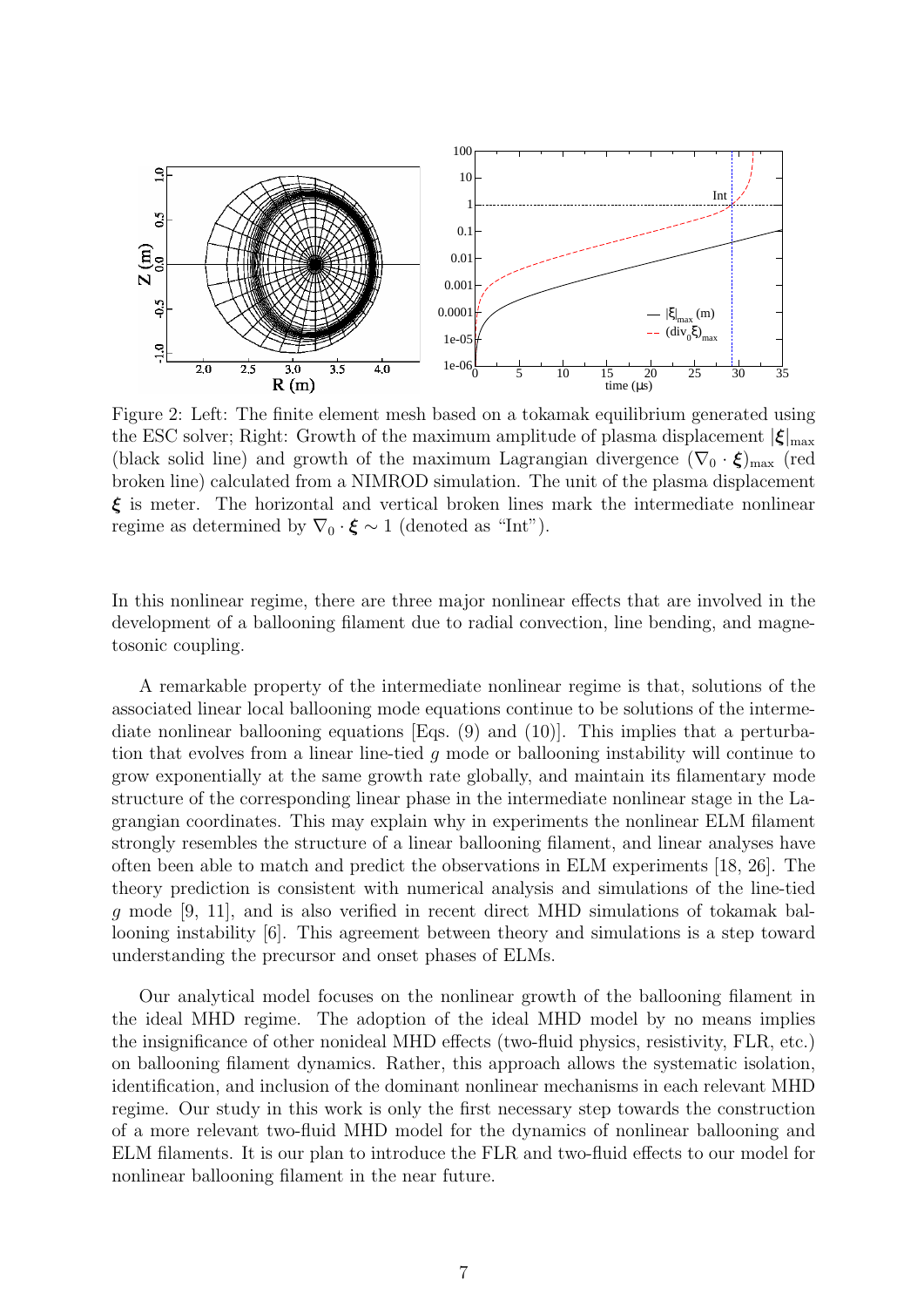

Figure 2: Left: The finite element mesh based on a tokamak equilibrium generated using the ESC solver; Right: Growth of the maximum amplitude of plasma displacement  $|\xi|_{\text{max}}$ (black solid line) and growth of the maximum Lagrangian divergence  $(\nabla_0 \cdot \xi)_{\text{max}}$  (red broken line) calculated from a NIMROD simulation. The unit of the plasma displacement  $\xi$  is meter. The horizontal and vertical broken lines mark the intermediate nonlinear regime as determined by  $\nabla_0 \cdot \boldsymbol{\xi} \sim 1$  (denoted as "Int").

In this nonlinear regime, there are three major nonlinear effects that are involved in the development of a ballooning filament due to radial convection, line bending, and magnetosonic coupling.

A remarkable property of the intermediate nonlinear regime is that, solutions of the associated linear local ballooning mode equations continue to be solutions of the intermediate nonlinear ballooning equations  $[Eqs. (9)$  and  $(10)]$ . This implies that a perturbation that evolves from a linear line-tied g mode or ballooning instability will continue to grow exponentially at the same growth rate globally, and maintain its filamentary mode structure of the corresponding linear phase in the intermediate nonlinear stage in the Lagrangian coordinates. This may explain why in experiments the nonlinear ELM filament strongly resembles the structure of a linear ballooning filament, and linear analyses have often been able to match and predict the observations in ELM experiments [18, 26]. The theory prediction is consistent with numerical analysis and simulations of the line-tied g mode [9, 11], and is also verified in recent direct MHD simulations of tokamak ballooning instability [6]. This agreement between theory and simulations is a step toward understanding the precursor and onset phases of ELMs.

Our analytical model focuses on the nonlinear growth of the ballooning filament in the ideal MHD regime. The adoption of the ideal MHD model by no means implies the insignificance of other nonideal MHD effects (two-fluid physics, resistivity, FLR, etc.) on ballooning filament dynamics. Rather, this approach allows the systematic isolation, identification, and inclusion of the dominant nonlinear mechanisms in each relevant MHD regime. Our study in this work is only the first necessary step towards the construction of a more relevant two-fluid MHD model for the dynamics of nonlinear ballooning and ELM filaments. It is our plan to introduce the FLR and two-fluid effects to our model for nonlinear ballooning filament in the near future.